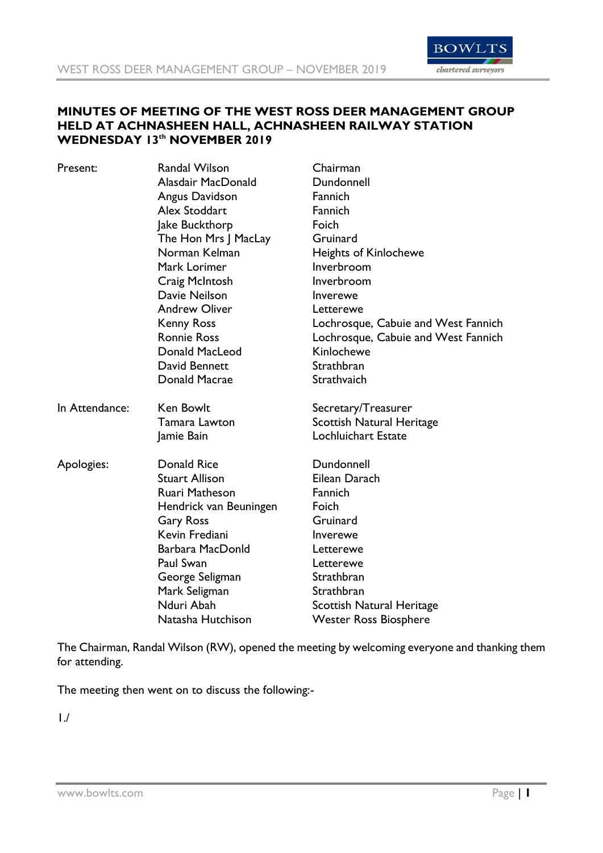

#### **MINUTES OF MEETING OF THE WEST ROSS DEER MANAGEMENT GROUP HELD AT ACHNASHEEN HALL, ACHNASHEEN RAILWAY STATION WEDNESDAY 13th NOVEMBER 2019**

| Present:       | <b>Randal Wilson</b>   | Chairman                            |
|----------------|------------------------|-------------------------------------|
|                | Alasdair MacDonald     | Dundonnell                          |
|                | Angus Davidson         | Fannich                             |
|                | Alex Stoddart          | Fannich                             |
|                | Jake Buckthorp         | Foich                               |
|                | The Hon Mrs J MacLay   | Gruinard                            |
|                | Norman Kelman          | Heights of Kinlochewe               |
|                | Mark Lorimer           | Inverbroom                          |
|                | Craig McIntosh         | Inverbroom                          |
|                | Davie Neilson          | Inverewe                            |
|                | <b>Andrew Oliver</b>   | Letterewe                           |
|                | <b>Kenny Ross</b>      | Lochrosque, Cabuie and West Fannich |
|                | <b>Ronnie Ross</b>     | Lochrosque, Cabuie and West Fannich |
|                | Donald MacLeod         | Kinlochewe                          |
|                | David Bennett          | Strathbran                          |
|                | Donald Macrae          | Strathvaich                         |
| In Attendance: | Ken Bowlt              | Secretary/Treasurer                 |
|                | Tamara Lawton          | <b>Scottish Natural Heritage</b>    |
|                | Jamie Bain             | Lochluichart Estate                 |
| Apologies:     | Donald Rice            | Dundonnell                          |
|                | <b>Stuart Allison</b>  | Eilean Darach                       |
|                | Ruari Matheson         | Fannich                             |
|                | Hendrick van Beuningen | Foich                               |
|                | <b>Gary Ross</b>       | Gruinard                            |
|                | Kevin Frediani         | Inverewe                            |
|                | Barbara MacDonld       | Letterewe                           |
|                | Paul Swan              | Letterewe                           |
|                | George Seligman        | Strathbran                          |
|                | Mark Seligman          | Strathbran                          |
|                | Nduri Abah             | <b>Scottish Natural Heritage</b>    |
|                | Natasha Hutchison      | <b>Wester Ross Biosphere</b>        |

The Chairman, Randal Wilson (RW), opened the meeting by welcoming everyone and thanking them for attending.

The meeting then went on to discuss the following:-

1./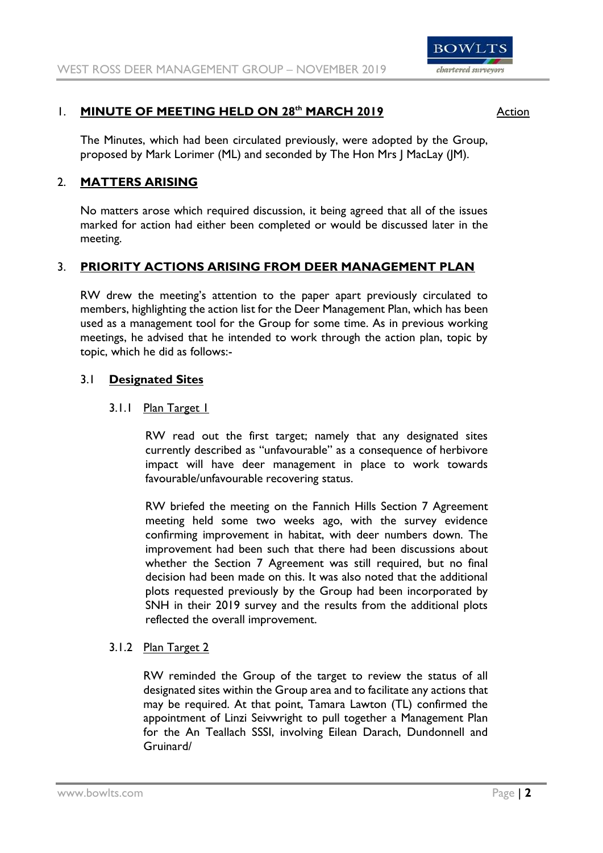

# 1. **MINUTE OF MEETING HELD ON 28<sup>th</sup> MARCH 2019** Action

The Minutes, which had been circulated previously, were adopted by the Group, proposed by Mark Lorimer (ML) and seconded by The Hon Mrs J MacLay (JM).

# 2. **MATTERS ARISING**

No matters arose which required discussion, it being agreed that all of the issues marked for action had either been completed or would be discussed later in the meeting.

# 3. **PRIORITY ACTIONS ARISING FROM DEER MANAGEMENT PLAN**

RW drew the meeting's attention to the paper apart previously circulated to members, highlighting the action list for the Deer Management Plan, which has been used as a management tool for the Group for some time. As in previous working meetings, he advised that he intended to work through the action plan, topic by topic, which he did as follows:-

## 3.1 **Designated Sites**

## 3.1.1 Plan Target 1

RW read out the first target; namely that any designated sites currently described as "unfavourable" as a consequence of herbivore impact will have deer management in place to work towards favourable/unfavourable recovering status.

RW briefed the meeting on the Fannich Hills Section 7 Agreement meeting held some two weeks ago, with the survey evidence confirming improvement in habitat, with deer numbers down. The improvement had been such that there had been discussions about whether the Section 7 Agreement was still required, but no final decision had been made on this. It was also noted that the additional plots requested previously by the Group had been incorporated by SNH in their 2019 survey and the results from the additional plots reflected the overall improvement.

# 3.1.2 Plan Target 2

RW reminded the Group of the target to review the status of all designated sites within the Group area and to facilitate any actions that may be required. At that point, Tamara Lawton (TL) confirmed the appointment of Linzi Seivwright to pull together a Management Plan for the An Teallach SSSI, involving Eilean Darach, Dundonnell and Gruinard/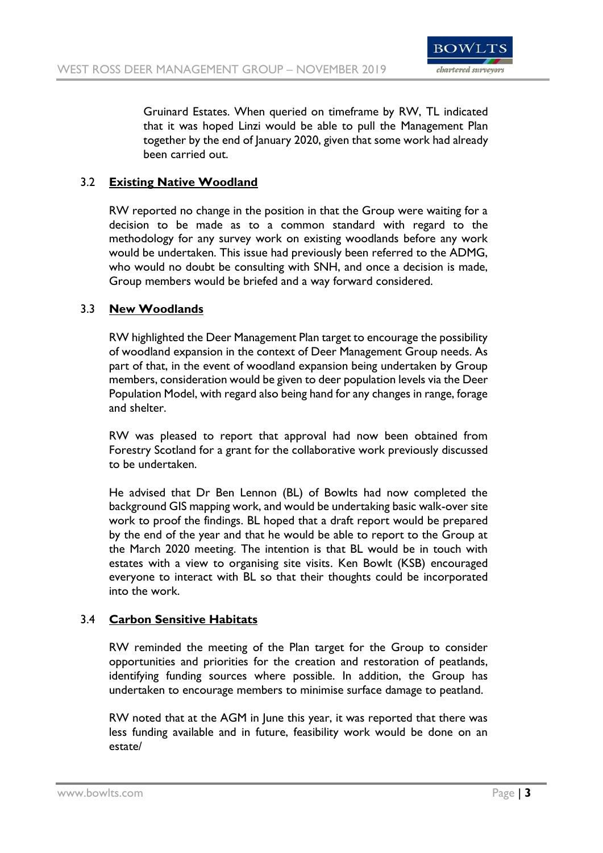

Gruinard Estates. When queried on timeframe by RW, TL indicated that it was hoped Linzi would be able to pull the Management Plan together by the end of January 2020, given that some work had already been carried out.

# 3.2 **Existing Native Woodland**

RW reported no change in the position in that the Group were waiting for a decision to be made as to a common standard with regard to the methodology for any survey work on existing woodlands before any work would be undertaken. This issue had previously been referred to the ADMG, who would no doubt be consulting with SNH, and once a decision is made, Group members would be briefed and a way forward considered.

## 3.3 **New Woodlands**

RW highlighted the Deer Management Plan target to encourage the possibility of woodland expansion in the context of Deer Management Group needs. As part of that, in the event of woodland expansion being undertaken by Group members, consideration would be given to deer population levels via the Deer Population Model, with regard also being hand for any changes in range, forage and shelter.

RW was pleased to report that approval had now been obtained from Forestry Scotland for a grant for the collaborative work previously discussed to be undertaken.

He advised that Dr Ben Lennon (BL) of Bowlts had now completed the background GIS mapping work, and would be undertaking basic walk-over site work to proof the findings. BL hoped that a draft report would be prepared by the end of the year and that he would be able to report to the Group at the March 2020 meeting. The intention is that BL would be in touch with estates with a view to organising site visits. Ken Bowlt (KSB) encouraged everyone to interact with BL so that their thoughts could be incorporated into the work.

## 3.4 **Carbon Sensitive Habitats**

RW reminded the meeting of the Plan target for the Group to consider opportunities and priorities for the creation and restoration of peatlands, identifying funding sources where possible. In addition, the Group has undertaken to encourage members to minimise surface damage to peatland.

RW noted that at the AGM in June this year, it was reported that there was less funding available and in future, feasibility work would be done on an estate/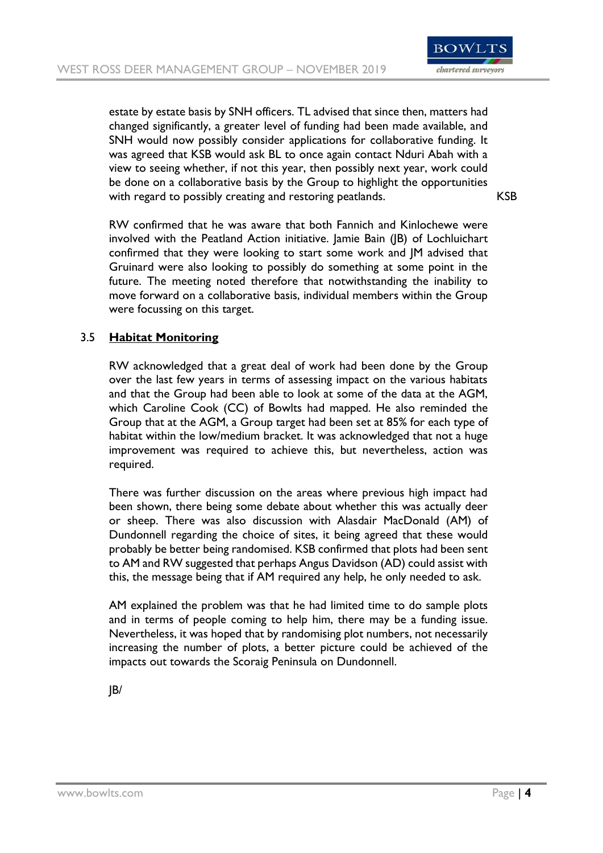

estate by estate basis by SNH officers. TL advised that since then, matters had changed significantly, a greater level of funding had been made available, and SNH would now possibly consider applications for collaborative funding. It was agreed that KSB would ask BL to once again contact Nduri Abah with a view to seeing whether, if not this year, then possibly next year, work could be done on a collaborative basis by the Group to highlight the opportunities with regard to possibly creating and restoring peatlands. KSB

RW confirmed that he was aware that both Fannich and Kinlochewe were involved with the Peatland Action initiative. Jamie Bain (JB) of Lochluichart confirmed that they were looking to start some work and JM advised that Gruinard were also looking to possibly do something at some point in the future. The meeting noted therefore that notwithstanding the inability to move forward on a collaborative basis, individual members within the Group were focussing on this target.

## 3.5 **Habitat Monitoring**

RW acknowledged that a great deal of work had been done by the Group over the last few years in terms of assessing impact on the various habitats and that the Group had been able to look at some of the data at the AGM, which Caroline Cook (CC) of Bowlts had mapped. He also reminded the Group that at the AGM, a Group target had been set at 85% for each type of habitat within the low/medium bracket. It was acknowledged that not a huge improvement was required to achieve this, but nevertheless, action was required.

There was further discussion on the areas where previous high impact had been shown, there being some debate about whether this was actually deer or sheep. There was also discussion with Alasdair MacDonald (AM) of Dundonnell regarding the choice of sites, it being agreed that these would probably be better being randomised. KSB confirmed that plots had been sent to AM and RW suggested that perhaps Angus Davidson (AD) could assist with this, the message being that if AM required any help, he only needed to ask.

AM explained the problem was that he had limited time to do sample plots and in terms of people coming to help him, there may be a funding issue. Nevertheless, it was hoped that by randomising plot numbers, not necessarily increasing the number of plots, a better picture could be achieved of the impacts out towards the Scoraig Peninsula on Dundonnell.

JB/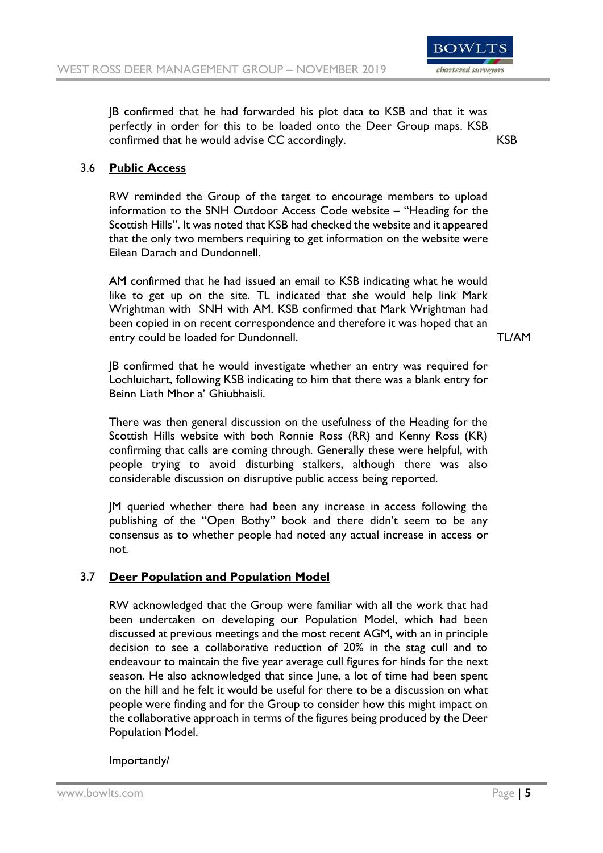

JB confirmed that he had forwarded his plot data to KSB and that it was perfectly in order for this to be loaded onto the Deer Group maps. KSB confirmed that he would advise CC accordingly. KSB

## 3.6 **Public Access**

RW reminded the Group of the target to encourage members to upload information to the SNH Outdoor Access Code website – "Heading for the Scottish Hills". It was noted that KSB had checked the website and it appeared that the only two members requiring to get information on the website were Eilean Darach and Dundonnell.

AM confirmed that he had issued an email to KSB indicating what he would like to get up on the site. TL indicated that she would help link Mark Wrightman with SNH with AM. KSB confirmed that Mark Wrightman had been copied in on recent correspondence and therefore it was hoped that an entry could be loaded for Dundonnell. TL/AM

JB confirmed that he would investigate whether an entry was required for Lochluichart, following KSB indicating to him that there was a blank entry for Beinn Liath Mhor a' Ghiubhaisli.

There was then general discussion on the usefulness of the Heading for the Scottish Hills website with both Ronnie Ross (RR) and Kenny Ross (KR) confirming that calls are coming through. Generally these were helpful, with people trying to avoid disturbing stalkers, although there was also considerable discussion on disruptive public access being reported.

JM queried whether there had been any increase in access following the publishing of the "Open Bothy" book and there didn't seem to be any consensus as to whether people had noted any actual increase in access or not.

## 3.7 **Deer Population and Population Model**

RW acknowledged that the Group were familiar with all the work that had been undertaken on developing our Population Model, which had been discussed at previous meetings and the most recent AGM, with an in principle decision to see a collaborative reduction of 20% in the stag cull and to endeavour to maintain the five year average cull figures for hinds for the next season. He also acknowledged that since June, a lot of time had been spent on the hill and he felt it would be useful for there to be a discussion on what people were finding and for the Group to consider how this might impact on the collaborative approach in terms of the figures being produced by the Deer Population Model.

## Importantly/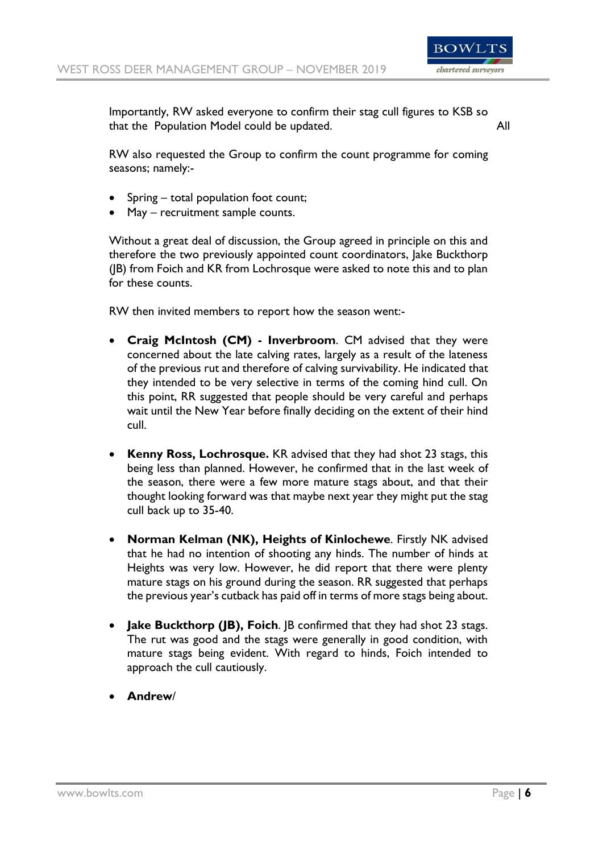

Importantly, RW asked everyone to confirm their stag cull figures to KSB so that the Population Model could be updated. All

RW also requested the Group to confirm the count programme for coming seasons; namely:-

- Spring total population foot count;
- May recruitment sample counts.

Without a great deal of discussion, the Group agreed in principle on this and therefore the two previously appointed count coordinators, Jake Buckthorp (JB) from Foich and KR from Lochrosque were asked to note this and to plan for these counts.

RW then invited members to report how the season went:-

- **Craig McIntosh (CM) - Inverbroom**. CM advised that they were concerned about the late calving rates, largely as a result of the lateness of the previous rut and therefore of calving survivability. He indicated that they intended to be very selective in terms of the coming hind cull. On this point, RR suggested that people should be very careful and perhaps wait until the New Year before finally deciding on the extent of their hind cull.
- **Kenny Ross, Lochrosque.** KR advised that they had shot 23 stags, this being less than planned. However, he confirmed that in the last week of the season, there were a few more mature stags about, and that their thought looking forward was that maybe next year they might put the stag cull back up to 35-40.
- **Norman Kelman (NK), Heights of Kinlochewe**. Firstly NK advised that he had no intention of shooting any hinds. The number of hinds at Heights was very low. However, he did report that there were plenty mature stags on his ground during the season. RR suggested that perhaps the previous year's cutback has paid off in terms of more stags being about.
- **Jake Buckthorp (JB), Foich**. JB confirmed that they had shot 23 stags. The rut was good and the stags were generally in good condition, with mature stags being evident. With regard to hinds, Foich intended to approach the cull cautiously.
- **Andrew**/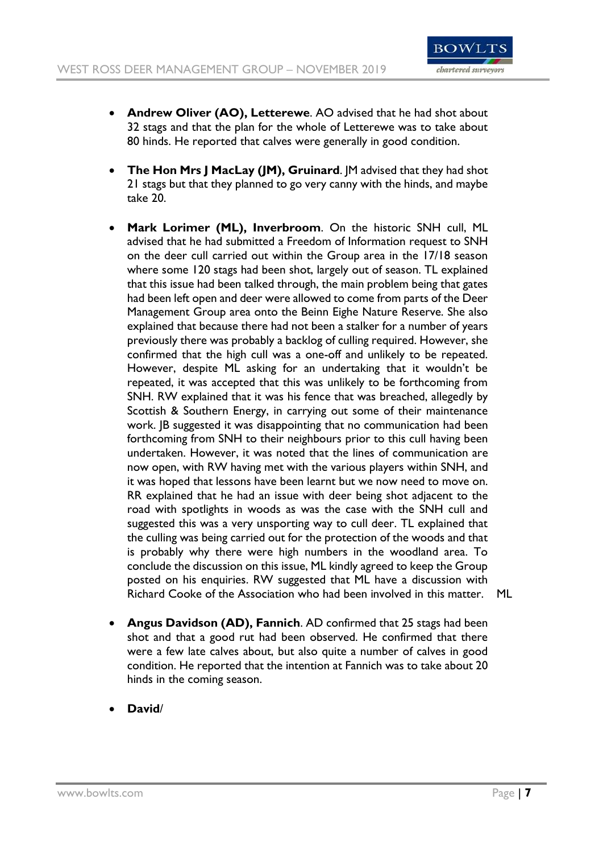

- **Andrew Oliver (AO), Letterewe**. AO advised that he had shot about 32 stags and that the plan for the whole of Letterewe was to take about 80 hinds. He reported that calves were generally in good condition.
- **The Hon Mrs J MacLay (JM), Gruinard**. JM advised that they had shot 21 stags but that they planned to go very canny with the hinds, and maybe take 20.
- **Mark Lorimer (ML), Inverbroom**. On the historic SNH cull, ML advised that he had submitted a Freedom of Information request to SNH on the deer cull carried out within the Group area in the 17/18 season where some 120 stags had been shot, largely out of season. TL explained that this issue had been talked through, the main problem being that gates had been left open and deer were allowed to come from parts of the Deer Management Group area onto the Beinn Eighe Nature Reserve. She also explained that because there had not been a stalker for a number of years previously there was probably a backlog of culling required. However, she confirmed that the high cull was a one-off and unlikely to be repeated. However, despite ML asking for an undertaking that it wouldn't be repeated, it was accepted that this was unlikely to be forthcoming from SNH. RW explained that it was his fence that was breached, allegedly by Scottish & Southern Energy, in carrying out some of their maintenance work. JB suggested it was disappointing that no communication had been forthcoming from SNH to their neighbours prior to this cull having been undertaken. However, it was noted that the lines of communication are now open, with RW having met with the various players within SNH, and it was hoped that lessons have been learnt but we now need to move on. RR explained that he had an issue with deer being shot adjacent to the road with spotlights in woods as was the case with the SNH cull and suggested this was a very unsporting way to cull deer. TL explained that the culling was being carried out for the protection of the woods and that is probably why there were high numbers in the woodland area. To conclude the discussion on this issue, ML kindly agreed to keep the Group posted on his enquiries. RW suggested that ML have a discussion with Richard Cooke of the Association who had been involved in this matter. ML
- **Angus Davidson (AD), Fannich**. AD confirmed that 25 stags had been shot and that a good rut had been observed. He confirmed that there were a few late calves about, but also quite a number of calves in good condition. He reported that the intention at Fannich was to take about 20 hinds in the coming season.
- **David**/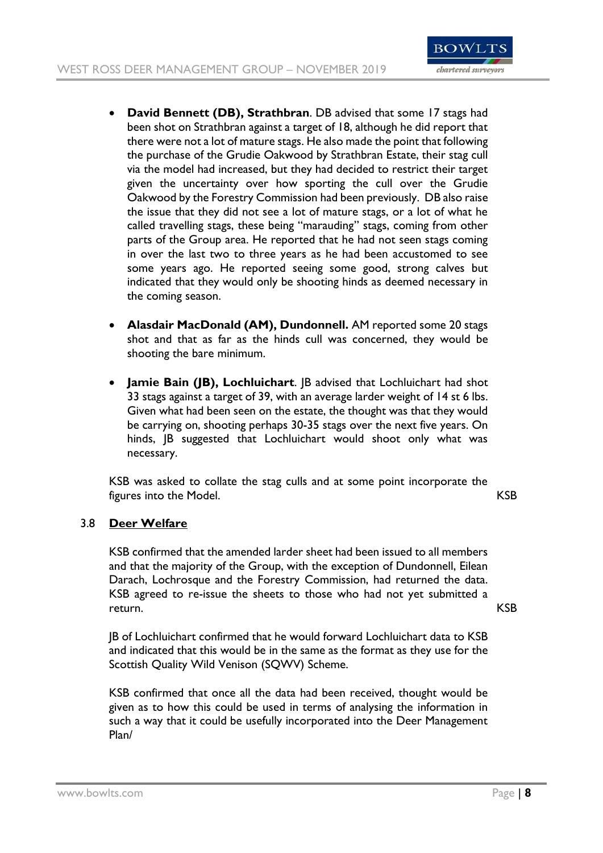

- **David Bennett (DB), Strathbran**. DB advised that some 17 stags had been shot on Strathbran against a target of 18, although he did report that there were not a lot of mature stags. He also made the point that following the purchase of the Grudie Oakwood by Strathbran Estate, their stag cull via the model had increased, but they had decided to restrict their target given the uncertainty over how sporting the cull over the Grudie Oakwood by the Forestry Commission had been previously. DB also raise the issue that they did not see a lot of mature stags, or a lot of what he called travelling stags, these being "marauding" stags, coming from other parts of the Group area. He reported that he had not seen stags coming in over the last two to three years as he had been accustomed to see some years ago. He reported seeing some good, strong calves but indicated that they would only be shooting hinds as deemed necessary in the coming season.
- **Alasdair MacDonald (AM), Dundonnell.** AM reported some 20 stags shot and that as far as the hinds cull was concerned, they would be shooting the bare minimum.
- **Jamie Bain (JB), Lochluichart**. JB advised that Lochluichart had shot 33 stags against a target of 39, with an average larder weight of 14 st 6 lbs. Given what had been seen on the estate, the thought was that they would be carrying on, shooting perhaps 30-35 stags over the next five years. On hinds, JB suggested that Lochluichart would shoot only what was necessary.

KSB was asked to collate the stag culls and at some point incorporate the figures into the Model. KSB

## 3.8 **Deer Welfare**

KSB confirmed that the amended larder sheet had been issued to all members and that the majority of the Group, with the exception of Dundonnell, Eilean Darach, Lochrosque and the Forestry Commission, had returned the data. KSB agreed to re-issue the sheets to those who had not yet submitted a return. KSB

JB of Lochluichart confirmed that he would forward Lochluichart data to KSB and indicated that this would be in the same as the format as they use for the Scottish Quality Wild Venison (SQWV) Scheme.

KSB confirmed that once all the data had been received, thought would be given as to how this could be used in terms of analysing the information in such a way that it could be usefully incorporated into the Deer Management Plan/